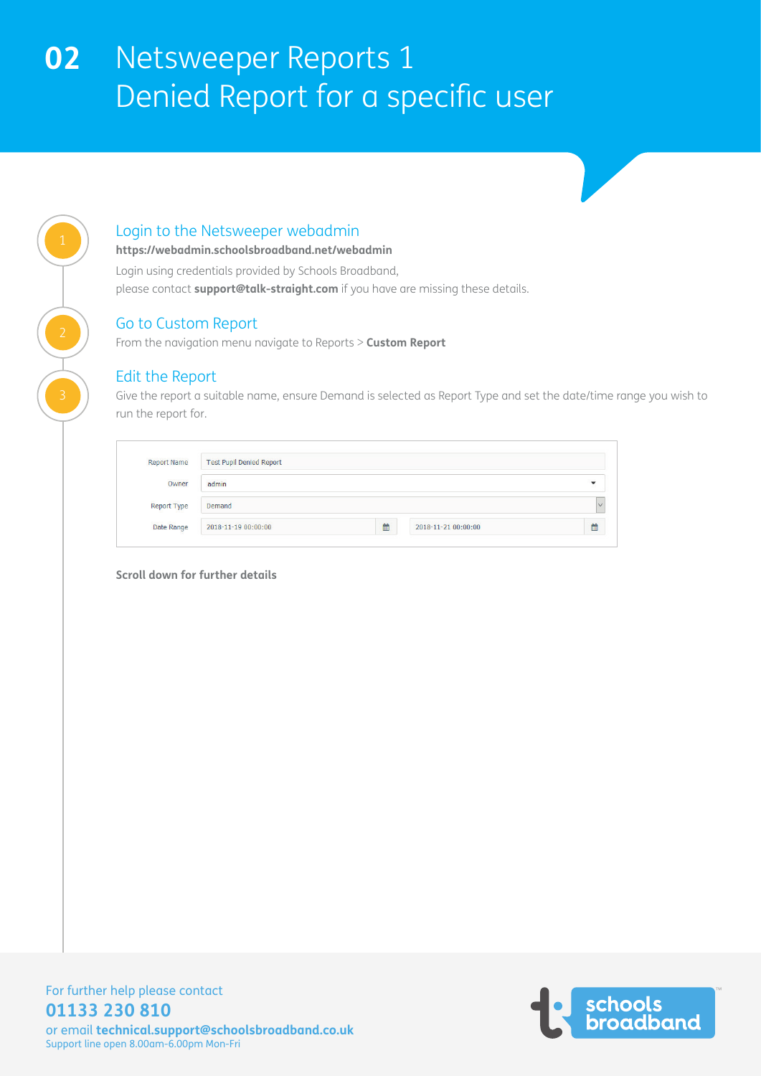### Login to the Netsweeper webadmin

**https://webadmin.schoolsbroadband.net/webadmin**

Login using credentials provided by Schools Broadband,

please contact **support@talk-straight.com** if you have are missing these details.

### Go to Custom Report

From the navigation menu navigate to Reports > **Custom Report**

### Edit the Report

Give the report a suitable name, ensure Demand is selected as Report Type and set the date/time range you wish to run the report for.

| <b>Report Name</b> | <b>Test Pupil Denied Report</b> |   |                     |   |  |
|--------------------|---------------------------------|---|---------------------|---|--|
| Owner              | admin                           |   |                     | ▼ |  |
| <b>Report Type</b> | Demand                          |   |                     |   |  |
|                    | 2018-11-19 00:00:00             | 曲 | 2018-11-21 00:00:00 | 曲 |  |

**Scroll down for further details**



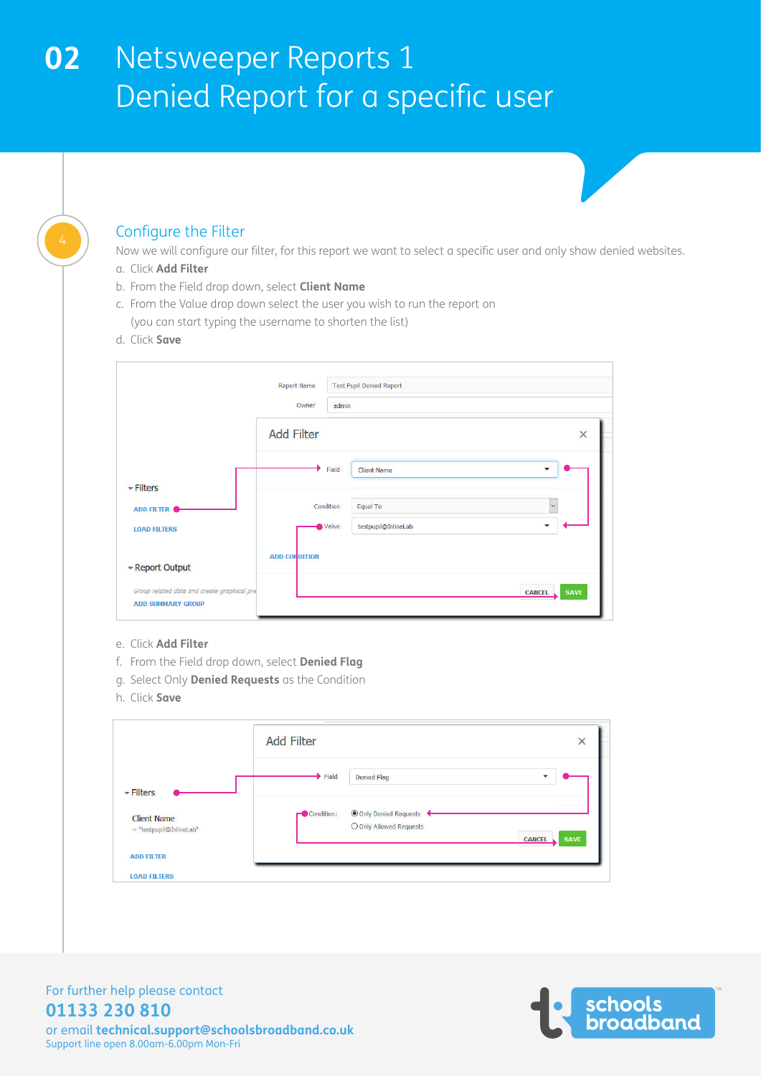### Configure the Filter

Now we will configure our filter, for this report we want to select a specific user and only show denied websites.

- a. Click **Add Filter**
- b. From the Field drop down, select **Client Name**
- c. From the Value drop down select the user you wish to run the report on (you can start typing the username to shorten the list)
- d. Click **Save**

|                                                                         | <b>Report Name</b>   | <b>Test Pupil Denied Report</b>                      |
|-------------------------------------------------------------------------|----------------------|------------------------------------------------------|
|                                                                         | Owner                | admin                                                |
|                                                                         | <b>Add Filter</b>    | ×                                                    |
|                                                                         |                      | Field<br><b>Client Name</b><br>$\blacktriangledown$  |
| $\overline{\phantom{a}}$ Filters                                        |                      | $\checkmark$<br>Condition<br><b>Equal To</b>         |
| <b>ADD FILTER</b>                                                       |                      | Value<br>testpupil@InlineLab<br>$\blacktriangledown$ |
| <b>LOAD FILTERS</b>                                                     |                      |                                                      |
| - Report Output                                                         | <b>ADD CONDITION</b> |                                                      |
| Group related data and create graphical pre<br><b>ADD SUMMARY GROUP</b> |                      | <b>SAVE</b><br><b>CANCEL</b>                         |

- e. Click **Add Filter**
- f. From the Field drop down, select **Denied Flag**
- g. Select Only **Denied Requests** as the Condition
- h. Click **Save**

|                                               | <b>Add Filter</b>           |                                                   | ×                            |
|-----------------------------------------------|-----------------------------|---------------------------------------------------|------------------------------|
| $\overline{\phantom{a}}$ Filters              | $\blacktriangleright$ Field | <b>Denied Flag</b>                                | $\overline{\phantom{a}}$     |
| <b>Client Name</b><br>= "testpupil@InlineLab" | Condition:                  | O Only Denied Requests<br>O Only Allowed Requests | <b>SAVE</b><br><b>CANCEL</b> |
| <b>ADD FILTER</b>                             |                             |                                                   |                              |
| <b>LOAD FILTERS</b>                           |                             |                                                   |                              |

For further help please contact **01133 230 810**

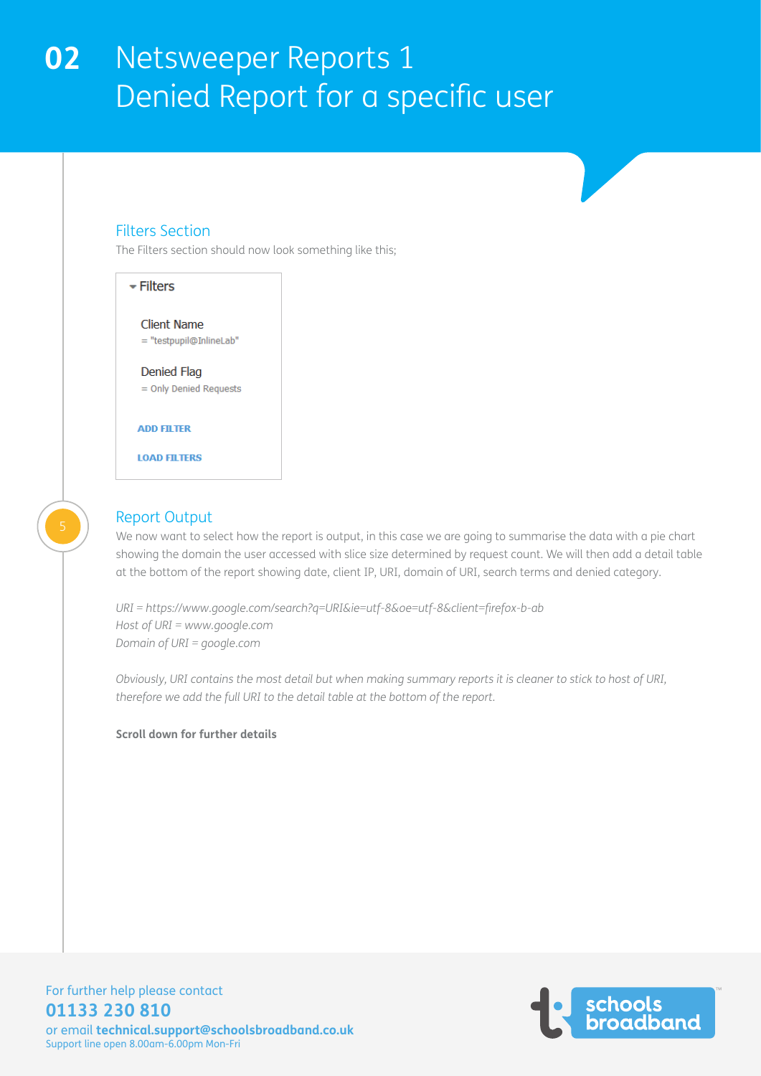### Filters Section

The Filters section should now look something like this;



### Report Output

We now want to select how the report is output, in this case we are going to summarise the data with a pie chart showing the domain the user accessed with slice size determined by request count. We will then add a detail table at the bottom of the report showing date, client IP, URI, domain of URI, search terms and denied category.

*URI = https://www.google.com/search?q=URI&ie=utf-8&oe=utf-8&client=firefox-b-ab Host of URI = www.google.com Domain of URI = google.com* 

*Obviously, URI contains the most detail but when making summary reports it is cleaner to stick to host of URI, therefore we add the full URI to the detail table at the bottom of the report.*

#### **Scroll down for further details**



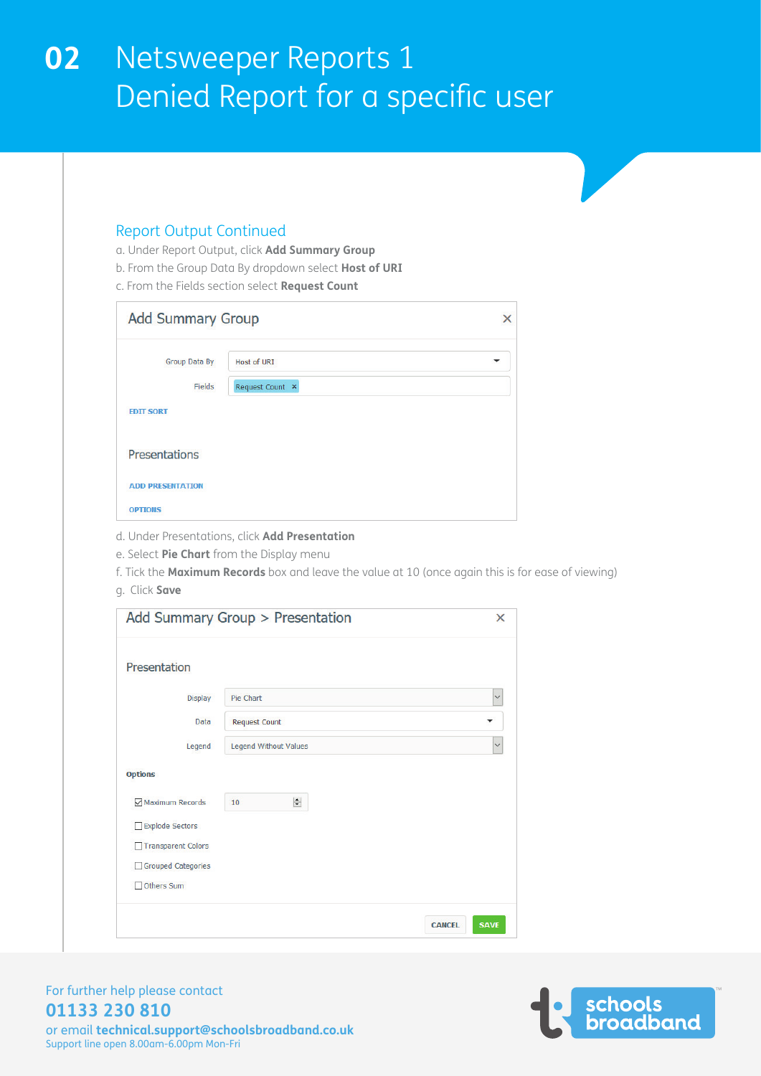### Report Output Continued

- a. Under Report Output, click **Add Summary Group**
- b. From the Group Data By dropdown select **Host of URI**
- c. From the Fields section select **Request Count**

| <b>Add Summary Group</b><br>× |                 |   |  |  |  |  |
|-------------------------------|-----------------|---|--|--|--|--|
| Group Data By                 | Host of URI     | ▼ |  |  |  |  |
| Fields                        | Request Count × |   |  |  |  |  |
| <b>EDIT SORT</b>              |                 |   |  |  |  |  |
| <b>Presentations</b>          |                 |   |  |  |  |  |
| <b>ADD PRESENTATION</b>       |                 |   |  |  |  |  |
| <b>OPTIONS</b>                |                 |   |  |  |  |  |

- d. Under Presentations, click **Add Presentation**
- e. Select **Pie Chart** from the Display menu

f. Tick the **Maximum Records** box and leave the value at 10 (once again this is for ease of viewing)

g. Click **Save**

|                           | Add Summary Group > Presentation | $\times$                     |
|---------------------------|----------------------------------|------------------------------|
| Presentation              |                                  |                              |
| <b>Display</b>            | Pie Chart                        | $\checkmark$                 |
| Data                      | <b>Request Count</b>             | ▼                            |
| Legend                    | <b>Legend Without Values</b>     | $\checkmark$                 |
| <b>Options</b>            |                                  |                              |
| Maximum Records           | $\div$<br>10                     |                              |
| Explode Sectors           |                                  |                              |
| <b>Transparent Colors</b> |                                  |                              |
| Grouped Categories        |                                  |                              |
| Others Sum                |                                  |                              |
|                           |                                  | <b>SAVE</b><br><b>CANCEL</b> |



### For further help please contact **01133 230 810**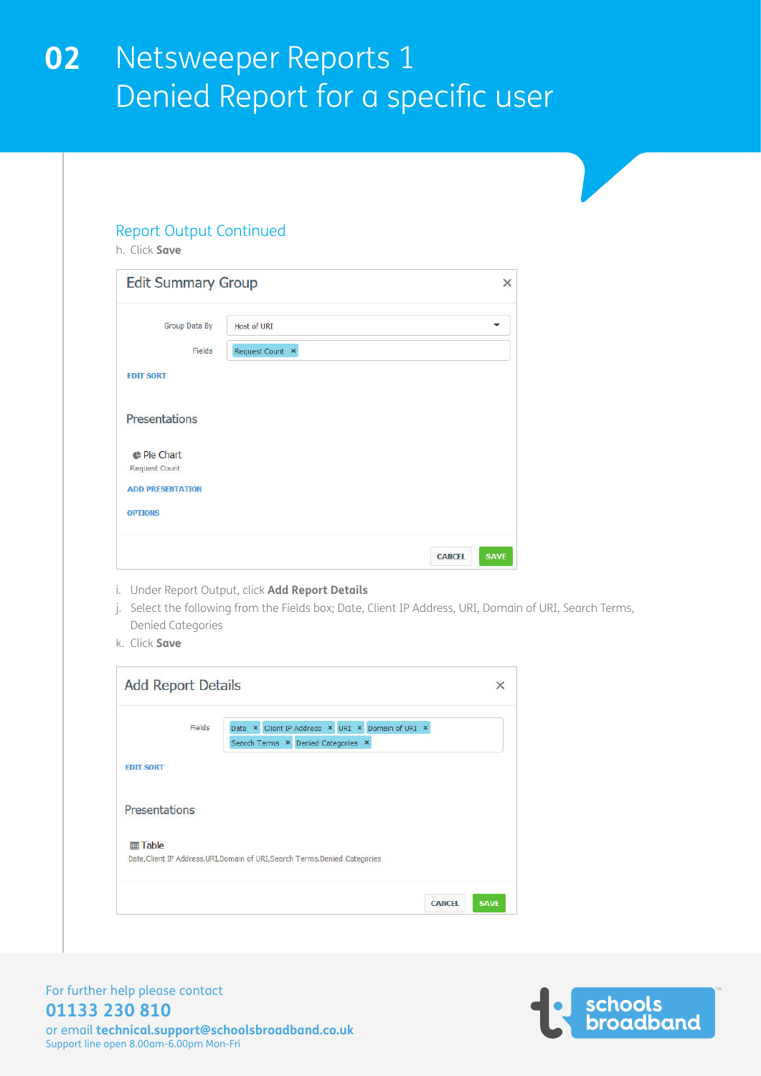### Report Output Continued

h. Click **Save**

| <b>Edit Summary Group</b>                  |                 | ×                            |
|--------------------------------------------|-----------------|------------------------------|
| <b>Group Data By</b>                       | Host of URI     |                              |
| Fields                                     | Request Count × |                              |
| <b>EDIT SORT</b>                           |                 |                              |
| <b>Presentations</b>                       |                 |                              |
| <b>C</b> Pie Chart<br><b>Request Count</b> |                 |                              |
| <b>ADD PRESENTATION</b>                    |                 |                              |
| <b>OPTIONS</b>                             |                 |                              |
|                                            |                 | <b>SAVE</b><br><b>CANCEL</b> |

- i. Under Report Output, click **Add Report Details**
- j. Select the following from the Fields box; Date, Client IP Address, URI, Domain of URI, Search Terms, Denied Categories
- k. Click **Save**

| <b>Add Report Details</b> |        |                                                                                        |               | ×           |
|---------------------------|--------|----------------------------------------------------------------------------------------|---------------|-------------|
|                           | Fields | Date × Client IP Address × URI × Domain of URI ×<br>Search Terms × Denied Categories × |               |             |
| <b>EDIT SORT</b>          |        |                                                                                        |               |             |
| <b>Presentations</b>      |        |                                                                                        |               |             |
| <b>   Table</b>           |        | Date, Client IP Address, URI, Domain of URI, Search Terms, Denied Categories           |               |             |
|                           |        |                                                                                        | <b>CANCEL</b> | <b>SAVE</b> |



### For further help please contact **01133 230 810**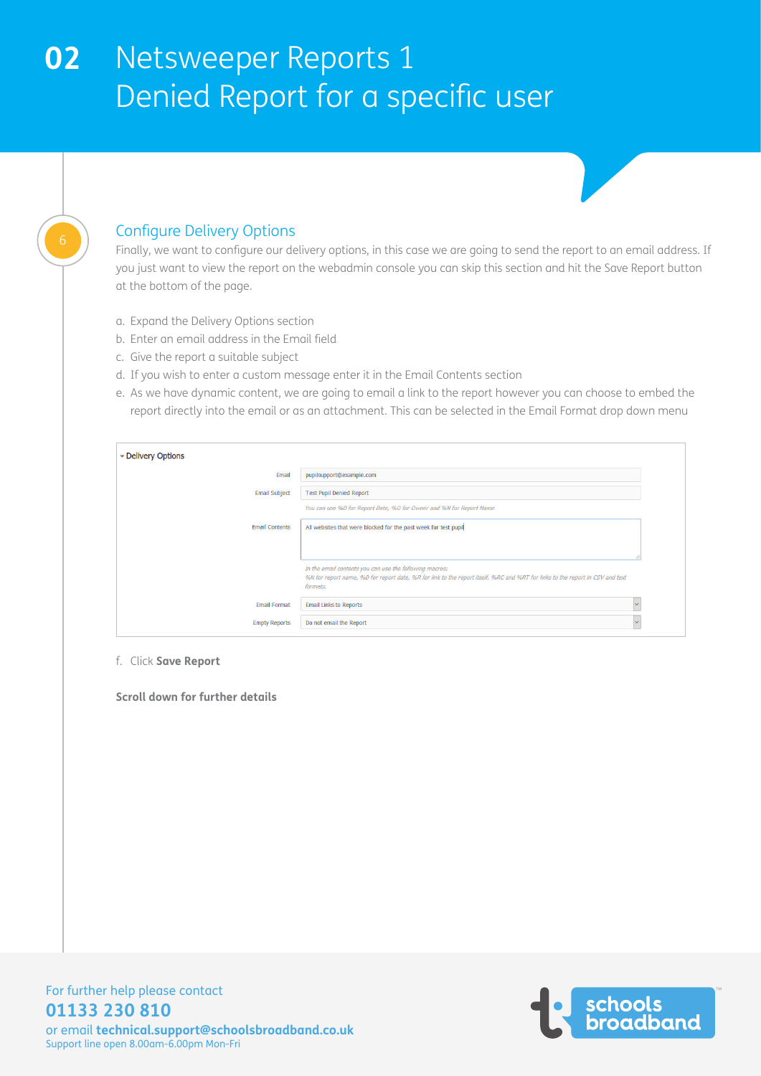

### Configure Delivery Options

Finally, we want to configure our delivery options, in this case we are going to send the report to an email address. If you just want to view the report on the webadmin console you can skip this section and hit the Save Report button at the bottom of the page.

- a. Expand the Delivery Options section
- b. Enter an email address in the Email field
- c. Give the report a suitable subject
- d. If you wish to enter a custom message enter it in the Email Contents section
- e. As we have dynamic content, we are going to email a link to the report however you can choose to embed the report directly into the email or as an attachment. This can be selected in the Email Format drop down menu

| - Delivery Options    |                                                                                                                                           |              |
|-----------------------|-------------------------------------------------------------------------------------------------------------------------------------------|--------------|
| Email                 | pupilsupport@example.com                                                                                                                  |              |
| <b>Email Subject</b>  | <b>Test Pupil Denied Report</b>                                                                                                           |              |
|                       | You can use %D for Report Date, %O for Owner and %N for Report Name                                                                       |              |
| <b>Email Contents</b> | All websites that were blocked for the past week for test pupil                                                                           |              |
|                       |                                                                                                                                           |              |
|                       |                                                                                                                                           |              |
|                       | In the email contents you can use the following macros:                                                                                   |              |
|                       | %N for report name, %D for report date, %R for link to the report itself, %RC and %RT for links to the report in CSV and text<br>formats. |              |
| <b>Email Format</b>   | <b>Email Links to Reports</b>                                                                                                             | $\checkmark$ |
| <b>Empty Reports</b>  | Do not email the Report                                                                                                                   |              |

f. Click **Save Report**

**Scroll down for further details**